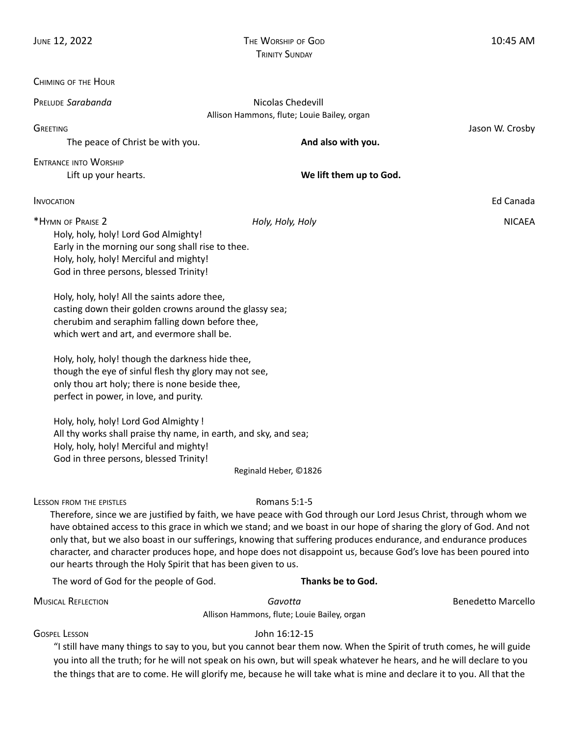| CHIMING OF THE HOUR                                                                                                                                                                                                                                                                                                                                                                                                                                                                                                                                                                                                                                                                                                                                                                                                          |                                                                                                                                                                                                                                                                                                                                                              |                           |
|------------------------------------------------------------------------------------------------------------------------------------------------------------------------------------------------------------------------------------------------------------------------------------------------------------------------------------------------------------------------------------------------------------------------------------------------------------------------------------------------------------------------------------------------------------------------------------------------------------------------------------------------------------------------------------------------------------------------------------------------------------------------------------------------------------------------------|--------------------------------------------------------------------------------------------------------------------------------------------------------------------------------------------------------------------------------------------------------------------------------------------------------------------------------------------------------------|---------------------------|
| PRELUDE Sarabanda                                                                                                                                                                                                                                                                                                                                                                                                                                                                                                                                                                                                                                                                                                                                                                                                            | Nicolas Chedevill                                                                                                                                                                                                                                                                                                                                            |                           |
| Allison Hammons, flute; Louie Bailey, organ                                                                                                                                                                                                                                                                                                                                                                                                                                                                                                                                                                                                                                                                                                                                                                                  |                                                                                                                                                                                                                                                                                                                                                              |                           |
| <b>GREETING</b><br>The peace of Christ be with you.                                                                                                                                                                                                                                                                                                                                                                                                                                                                                                                                                                                                                                                                                                                                                                          | And also with you.                                                                                                                                                                                                                                                                                                                                           | Jason W. Crosby           |
|                                                                                                                                                                                                                                                                                                                                                                                                                                                                                                                                                                                                                                                                                                                                                                                                                              |                                                                                                                                                                                                                                                                                                                                                              |                           |
| <b>ENTRANCE INTO WORSHIP</b><br>Lift up your hearts.                                                                                                                                                                                                                                                                                                                                                                                                                                                                                                                                                                                                                                                                                                                                                                         | We lift them up to God.                                                                                                                                                                                                                                                                                                                                      |                           |
| <b>INVOCATION</b>                                                                                                                                                                                                                                                                                                                                                                                                                                                                                                                                                                                                                                                                                                                                                                                                            |                                                                                                                                                                                                                                                                                                                                                              | Ed Canada                 |
| *HYMN OF PRAISE 2                                                                                                                                                                                                                                                                                                                                                                                                                                                                                                                                                                                                                                                                                                                                                                                                            | Holy, Holy, Holy                                                                                                                                                                                                                                                                                                                                             | <b>NICAEA</b>             |
| Holy, holy, holy! Lord God Almighty!<br>Early in the morning our song shall rise to thee.<br>Holy, holy, holy! Merciful and mighty!<br>God in three persons, blessed Trinity!<br>Holy, holy, holy! All the saints adore thee,<br>casting down their golden crowns around the glassy sea;<br>cherubim and seraphim falling down before thee,<br>which wert and art, and evermore shall be.<br>Holy, holy, holy! though the darkness hide thee,<br>though the eye of sinful flesh thy glory may not see,<br>only thou art holy; there is none beside thee,<br>perfect in power, in love, and purity.<br>Holy, holy, holy! Lord God Almighty !<br>All thy works shall praise thy name, in earth, and sky, and sea;<br>Holy, holy, holy! Merciful and mighty!<br>God in three persons, blessed Trinity!<br>Reginald Heber, ©1826 |                                                                                                                                                                                                                                                                                                                                                              |                           |
| <b>LESSON FROM THE EPISTLES</b>                                                                                                                                                                                                                                                                                                                                                                                                                                                                                                                                                                                                                                                                                                                                                                                              | Romans 5:1-5<br>Therefore, since we are justified by faith, we have peace with God through our Lord Jesus Christ, through whom we                                                                                                                                                                                                                            |                           |
| our hearts through the Holy Spirit that has been given to us.                                                                                                                                                                                                                                                                                                                                                                                                                                                                                                                                                                                                                                                                                                                                                                | have obtained access to this grace in which we stand; and we boast in our hope of sharing the glory of God. And not<br>only that, but we also boast in our sufferings, knowing that suffering produces endurance, and endurance produces<br>character, and character produces hope, and hope does not disappoint us, because God's love has been poured into |                           |
| The word of God for the people of God.                                                                                                                                                                                                                                                                                                                                                                                                                                                                                                                                                                                                                                                                                                                                                                                       | Thanks be to God.                                                                                                                                                                                                                                                                                                                                            |                           |
| <b>MUSICAL REFLECTION</b>                                                                                                                                                                                                                                                                                                                                                                                                                                                                                                                                                                                                                                                                                                                                                                                                    | Gavotta                                                                                                                                                                                                                                                                                                                                                      | <b>Benedetto Marcello</b> |
| Allison Hammons, flute; Louie Bailey, organ                                                                                                                                                                                                                                                                                                                                                                                                                                                                                                                                                                                                                                                                                                                                                                                  |                                                                                                                                                                                                                                                                                                                                                              |                           |
| <b>GOSPEL LESSON</b><br>John 16:12-15<br>"I still have many things to say to you, but you cannot bear them now. When the Spirit of truth comes, he will guide<br>you into all the truth; for he will not speak on his own, but will speak whatever he hears, and he will declare to you                                                                                                                                                                                                                                                                                                                                                                                                                                                                                                                                      |                                                                                                                                                                                                                                                                                                                                                              |                           |

the things that are to come. He will glorify me, because he will take what is mine and declare it to you. All that the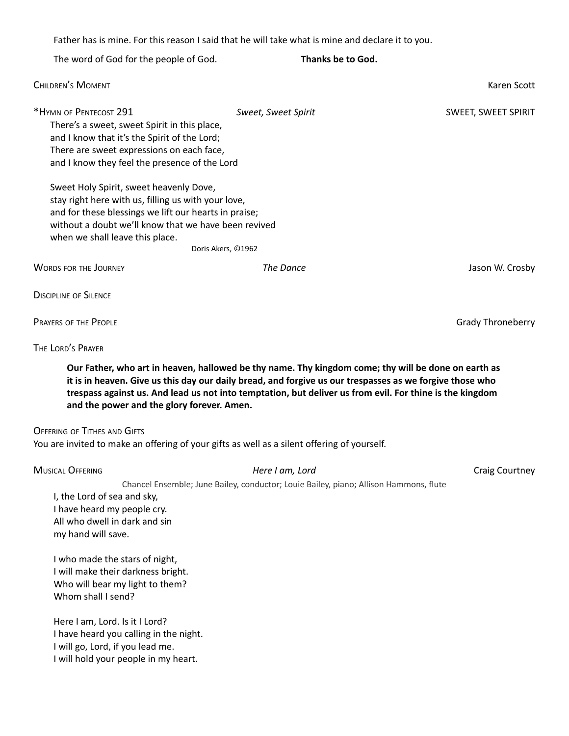Father has is mine. For this reason I said that he will take what is mine and declare it to you.

The word of God for the people of God. **Thanks be to God. CHILDREN'S MOMENT** KAREN SCOTT AND THE SCOTT CHILDREN'S MOMENT AND THE SCOTT CHILDREN'S MOMENT AND THE SCOTT CHILDREN CONTINUES. \*HYMN OF PENTECOST 291 *Sweet, Sweet Spirit* SWEET, SWEET SPIRIT There's a sweet, sweet Spirit in this place, and I know that it's the Spirit of the Lord; There are sweet expressions on each face, and I know they feel the presence of the Lord Sweet Holy Spirit, sweet heavenly Dove, stay right here with us, filling us with your love, and for these blessings we lift our hearts in praise; without a doubt we'll know that we have been revived when we shall leave this place. Doris Akers, ©1962 WORDS FOR THE JOURNEY *The Dance* Jason W. Crosby **DISCIPLINE OF SILENCE PRAYERS OF THE PEOPLE CONSUMING THE CONSUMING THE PEOPLE** THE LORD'<sup>S</sup> PRAYER Our Father, who art in heaven, hallowed be thy name. Thy kingdom come; thy will be done on earth as it is in heaven. Give us this day our daily bread, and forgive us our trespasses as we forgive those who trespass against us. And lead us not into temptation, but deliver us from evil. For thine is the kingdom **and the power and the glory forever. Amen. OFFERING OF TITHES AND GIFTS** You are invited to make an offering of your gifts as well as a silent offering of yourself. MUSICAL OFFERING *Here I am, Lord* Craig Courtney Chancel Ensemble; June Bailey, conductor; Louie Bailey, piano; Allison Hammons, flute I, the Lord of sea and sky, I have heard my people cry. All who dwell in dark and sin my hand will save. I who made the stars of night, I will make their darkness bright. Who will bear my light to them? Whom shall I send? Here I am, Lord. Is it I Lord? I have heard you calling in the night. I will go, Lord, if you lead me. I will hold your people in my heart.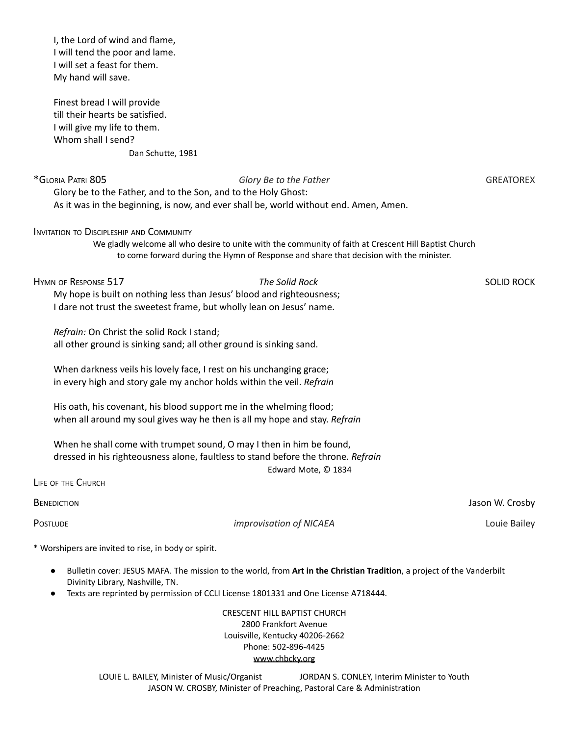I, the Lord of wind and flame, I will tend the poor and lame. I will set a feast for them. My hand will save.

Finest bread I will provide till their hearts be satisfied. I will give my life to them. Whom shall I send? Dan Schutte, 1981

\*GLORIA PATRI 805 *Glory Be to the Father* GREATOREX Glory be to the Father, and to the Son, and to the Holy Ghost: As it was in the beginning, is now, and ever shall be, world without end. Amen, Amen. INVITATION TO DISCIPLESHIP AND COMMUNITY We gladly welcome all who desire to unite with the community of faith at Crescent Hill Baptist Church to come forward during the Hymn of Response and share that decision with the minister. HYMN OF RESPONSE 517 *The Solid Rock* SOLID ROCK My hope is built on nothing less than Jesus' blood and righteousness; I dare not trust the sweetest frame, but wholly lean on Jesus' name. *Refrain:* On Christ the solid Rock I stand; all other ground is sinking sand; all other ground is sinking sand. When darkness veils his lovely face, I rest on his unchanging grace; in every high and story gale my anchor holds within the veil. *Refrain* His oath, his covenant, his blood support me in the whelming flood; when all around my soul gives way he then is all my hope and stay. *Refrain* When he shall come with trumpet sound, O may I then in him be found, dressed in his righteousness alone, faultless to stand before the throne. *Refrain* Edward Mote, © 1834 LIFE OF THE CHURCH BENEDICTION Jason W. Crosby POSTLUDE *improvisation of NICAEA* Louie Bailey \* Worshipers are invited to rise, in body or spirit.

- Bulletin cover: JESUS MAFA. The mission to the world, from **Art in the Christian Tradition**, a project of the Vanderbilt Divinity Library, Nashville, TN.
- Texts are reprinted by permission of CCLI License 1801331 and One License A718444.

CRESCENT HILL BAPTIST CHURCH 2800 Frankfort Avenue Louisville, Kentucky 40206-2662 Phone: 502-896-4425 [www.chbcky.org](http://www.chbcky.org)

LOUIE L. BAILEY, Minister of Music/Organist JORDAN S. CONLEY, Interim Minister to Youth JASON W. CROSBY, Minister of Preaching, Pastoral Care & Administration